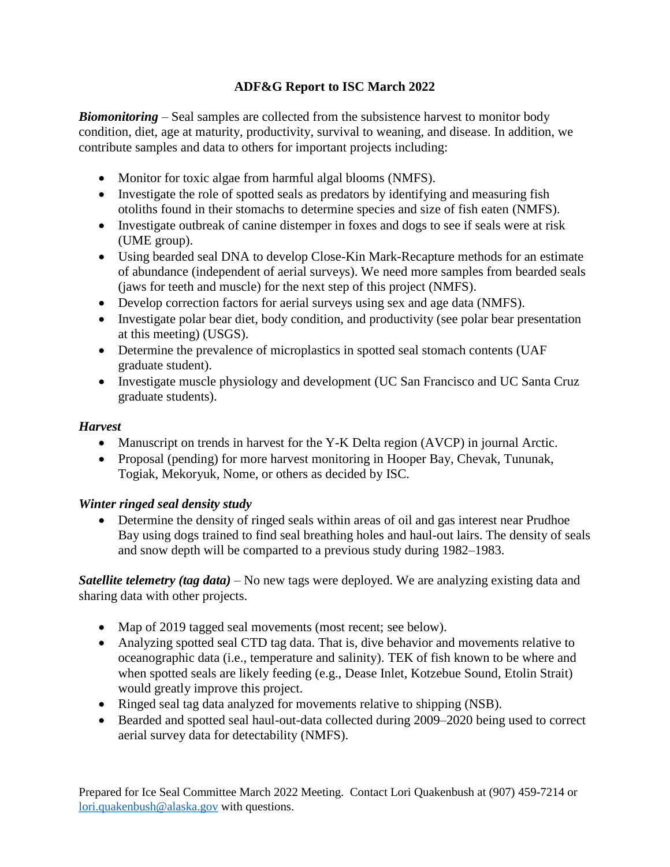## **ADF&G Report to ISC March 2022**

*Biomonitoring* – Seal samples are collected from the subsistence harvest to monitor body condition, diet, age at maturity, productivity, survival to weaning, and disease. In addition, we contribute samples and data to others for important projects including:

- Monitor for toxic algae from harmful algal blooms (NMFS).
- Investigate the role of spotted seals as predators by identifying and measuring fish otoliths found in their stomachs to determine species and size of fish eaten (NMFS).
- Investigate outbreak of canine distemper in foxes and dogs to see if seals were at risk (UME group).
- Using bearded seal DNA to develop Close-Kin Mark-Recapture methods for an estimate of abundance (independent of aerial surveys). We need more samples from bearded seals (jaws for teeth and muscle) for the next step of this project (NMFS).
- Develop correction factors for aerial surveys using sex and age data (NMFS).
- Investigate polar bear diet, body condition, and productivity (see polar bear presentation at this meeting) (USGS).
- Determine the prevalence of microplastics in spotted seal stomach contents (UAF graduate student).
- Investigate muscle physiology and development (UC San Francisco and UC Santa Cruz graduate students).

## *Harvest*

- Manuscript on trends in harvest for the Y-K Delta region (AVCP) in journal Arctic.
- Proposal (pending) for more harvest monitoring in Hooper Bay, Chevak, Tununak, Togiak, Mekoryuk, Nome, or others as decided by ISC.

## *Winter ringed seal density study*

• Determine the density of ringed seals within areas of oil and gas interest near Prudhoe Bay using dogs trained to find seal breathing holes and haul-out lairs. The density of seals and snow depth will be comparted to a previous study during 1982–1983.

*Satellite telemetry (tag data)* – No new tags were deployed. We are analyzing existing data and sharing data with other projects.

- Map of 2019 tagged seal movements (most recent; see below).
- Analyzing spotted seal CTD tag data. That is, dive behavior and movements relative to oceanographic data (i.e., temperature and salinity). TEK of fish known to be where and when spotted seals are likely feeding (e.g., Dease Inlet, Kotzebue Sound, Etolin Strait) would greatly improve this project.
- Ringed seal tag data analyzed for movements relative to shipping (NSB).
- Bearded and spotted seal haul-out-data collected during 2009–2020 being used to correct aerial survey data for detectability (NMFS).

Prepared for Ice Seal Committee March 2022 Meeting. Contact Lori Quakenbush at (907) 459-7214 or [lori.quakenbush@alaska.gov](mailto:lori.quakenbush@alaska.gov) with questions.